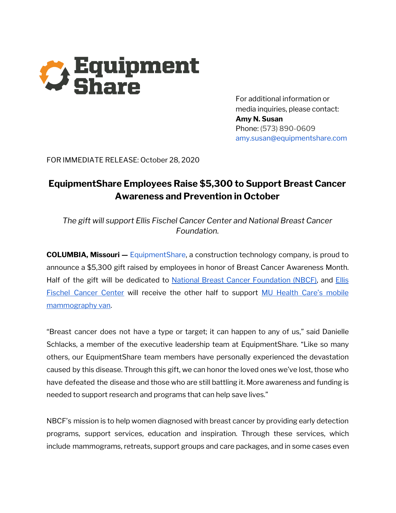

For additional information or media inquiries, please contact: **Amy N. Susan** Phone: (573) 890-0609 amy.susan@equipmentshare.com

FOR IMMEDIATE RELEASE: October 28, 2020

## **EquipmentShare Employees Raise \$5,300 to Support Breast Cancer Awareness and Prevention in October**

*The gift will support Ellis Fischel Cancer Center and National Breast Cancer Foundation.*

**COLUMBIA, Missouri —** EquipmentShare, a construction technology company, is proud to announce a \$5,300 gift raised by employees in honor of Breast Cancer Awareness Month. Half of the gift will be dedicated to National Breast Cancer [Foundation](https://www.nationalbreastcancer.org/) (NBCF), and [Ellis](https://www.muhealth.org/locations/ellis-fischel-cancer-center) Fischel [Cancer](https://www.muhealth.org/locations/ellis-fischel-cancer-center) Center will receive the other half to support MU Health Care's [mobile](https://www.muhealth.org/conditions-treatments/radiology/mammography) [mammography](https://www.muhealth.org/conditions-treatments/radiology/mammography) van.

"Breast cancer does not have a type or target; it can happen to any of us," said Danielle Schlacks, a member of the executive leadership team at EquipmentShare. "Like so many others, our EquipmentShare team members have personally experienced the devastation caused by this disease. Through this gift, we can honor the loved ones we've lost, those who have defeated the disease and those who are still battling it. More awareness and funding is needed to support research and programs that can help save lives."

NBCF's mission is to help women diagnosed with breast cancer by providing early detection programs, support services, education and inspiration. Through these services, which include mammograms, retreats, support groups and care packages, and in some cases even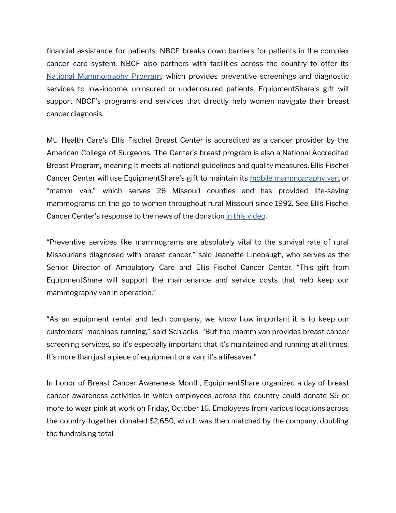financial assistance for patients, NBCF breaks down barriers for patients in the complex cancer care system. NBCF also partners with facilities across the country to offer its National [Mammography](https://www.nationalbreastcancer.org/national-mammography-program) Program, which provides preventive screenings and diagnostic services to low-income, uninsured or underinsured patients. EquipmentShare's gift will support NBCF's programs and services that directly help women navigate their breast cancer diagnosis.

MU Health Care's Ellis Fischel Breast Center is accredited as a cancer provider by the American College of Surgeons. The Center's breast program is also a National Accredited Breast Program, meaning it meets all national guidelines and quality measures. Ellis Fischel Cancer Center will use EquipmentShare's gift to maintain its mobile [mammography](https://www.muhealth.org/conditions-treatments/radiology/mammography) van, or "mamm van," which serves 26 Missouri counties and has provided life-saving mammograms on the go to women throughout rural Missouri since 1992. See Ellis Fischel Cancer Center's response to the news of the donation in this [video](https://youtu.be/Pq_mJDyRdbQ).

"Preventive services like mammograms are absolutely vital to the survival rate of rural Missourians diagnosed with breast cancer," said Jeanette Linebaugh, who serves as the Senior Director of Ambulatory Care and Ellis Fischel Cancer Center. "This gift from EquipmentShare will support the maintenance and service costs that help keep our mammography van in operation."

"As an equipment rental and tech company, we know how important it is to keep our customers' machines running," said Schlacks. "But the mamm van provides breast cancer screening services, so it's especially important that it's maintained and running at all times. It's more than just a piece of equipment or a van; it's a lifesaver."

In honor of Breast Cancer Awareness Month, EquipmentShare organized a day of breast cancer awareness activities in which employees across the country could donate \$5 or more to wear pink at work on Friday, October 16. Employees from various locations across the country together donated \$2,650, which was then matched by the company, doubling the fundraising total.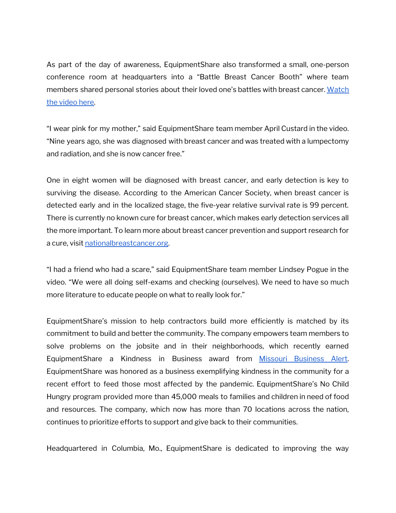As part of the day of awareness, EquipmentShare also transformed a small, one-person conference room at headquarters into a "Battle Breast Cancer Booth" where team members shared personal stories about their loved one's battles with breast cancer. [Watch](https://www.youtube.com/watch?v=03u5mjFTGLE&feature=youtu.be) the [video](https://www.youtube.com/watch?v=03u5mjFTGLE&feature=youtu.be) here.

"I wear pink for my mother," said EquipmentShare team member April Custard in the video. "Nine years ago, she was diagnosed with breast cancer and was treated with a lumpectomy and radiation, and she is now cancer free."

One in eight women will be diagnosed with breast cancer, and early detection is key to surviving the disease. According to the American Cancer Society, when breast cancer is detected early and in the localized stage, the five-year relative survival rate is 99 percent. There is currently no known cure for breast cancer, which makes early detection services all the more important. To learn more about breast cancer prevention and support research for a cure, visit [nationalbreastcancer.org](https://www.nationalbreastcancer.org/).

"I had a friend who had a scare," said EquipmentShare team member Lindsey Pogue in the video. "We were all doing self-exams and checking (ourselves). We need to have so much more literature to educate people on what to really look for."

EquipmentShare's mission to help contractors build more efficiently is matched by its commitment to build and better the community. The company empowers team members to solve problems on the jobsite and in their neighborhoods, which recently earned EquipmentShare a Kindness in Business award from Missouri [Business](https://www.missouribusinessalert.com/series/111967/2020/10/15/we-just-kept-rolling-equipmentshare-effort-grows-to-provide-more-than-40000-meals/) Alert. EquipmentShare was honored as a business exemplifying kindness in the community for a recent effort to feed those most affected by the pandemic. EquipmentShare's No Child Hungry program provided more than 45,000 meals to families and children in need of food and resources. The company, which now has more than 70 locations across the nation, continues to prioritize efforts to support and give back to their communities.

Headquartered in Columbia, Mo., EquipmentShare is dedicated to improving the way